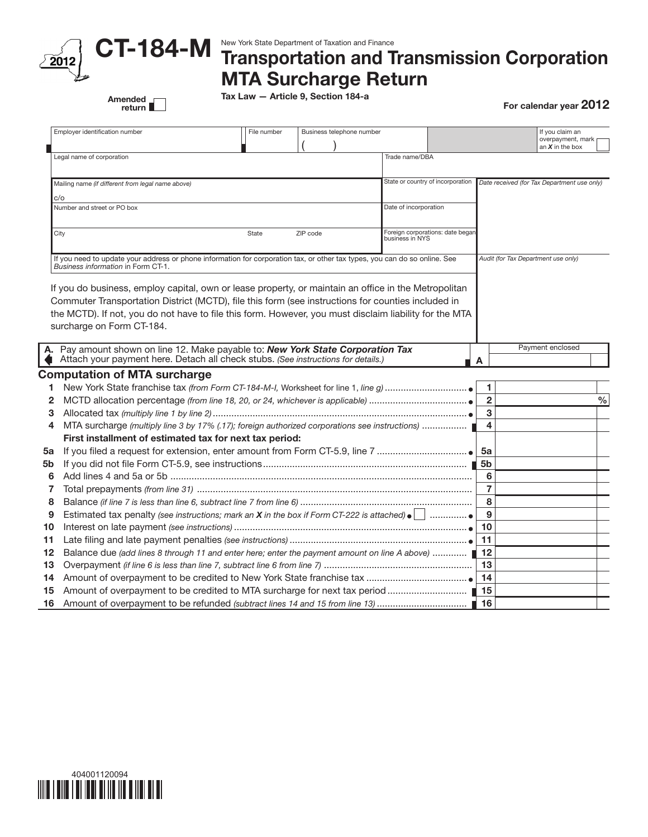

Amended<br>return

## CT-184-M New York State Department of Taxation and Finance<br>CT-184-M Transportation and Transmission Corporation MTA Surcharge Return

Tax Law — Article 9, Section 184-a

For calendar year 2012

|      | Employer identification number                                                                                                                                                                                         | File number                                         | Business telephone number |                                   |                       |                     | If you claim an<br>overpayment, mark<br>an $X$ in the box |               |
|------|------------------------------------------------------------------------------------------------------------------------------------------------------------------------------------------------------------------------|-----------------------------------------------------|---------------------------|-----------------------------------|-----------------------|---------------------|-----------------------------------------------------------|---------------|
|      | Legal name of corporation                                                                                                                                                                                              |                                                     |                           | Trade name/DBA                    |                       |                     |                                                           |               |
|      | Mailing name (if different from legal name above)                                                                                                                                                                      |                                                     |                           | State or country of incorporation |                       |                     | Date received (for Tax Department use only)               |               |
| c/o  |                                                                                                                                                                                                                        |                                                     |                           |                                   |                       |                     |                                                           |               |
|      | Number and street or PO box                                                                                                                                                                                            |                                                     |                           |                                   | Date of incorporation |                     |                                                           |               |
| City |                                                                                                                                                                                                                        | Foreign corporations: date began<br>business in NYS |                           |                                   |                       |                     |                                                           |               |
|      | If you need to update your address or phone information for corporation tax, or other tax types, you can do so online. See<br>Business information in Form CT-1.                                                       | Audit (for Tax Department use only)                 |                           |                                   |                       |                     |                                                           |               |
|      | the MCTD). If not, you do not have to file this form. However, you must disclaim liability for the MTA<br>surcharge on Form CT-184.<br>A. Pay amount shown on line 12. Make payable to: New York State Corporation Tax |                                                     |                           |                                   |                       |                     | Payment enclosed                                          |               |
|      | Attach your payment here. Detach all check stubs. (See instructions for details.)                                                                                                                                      |                                                     |                           |                                   |                       | A                   |                                                           |               |
|      | <b>Computation of MTA surcharge</b>                                                                                                                                                                                    |                                                     |                           |                                   |                       |                     |                                                           |               |
| 1    |                                                                                                                                                                                                                        |                                                     |                           |                                   |                       | 1                   |                                                           |               |
| 2    |                                                                                                                                                                                                                        |                                                     |                           |                                   |                       | $\overline{2}$      |                                                           | $\frac{0}{0}$ |
| З    |                                                                                                                                                                                                                        |                                                     |                           |                                   |                       | 3                   |                                                           |               |
| 4    | MTA surcharge (multiply line 3 by 17% (.17); foreign authorized corporations see instructions)                                                                                                                         |                                                     |                           |                                   |                       |                     |                                                           |               |
|      | First installment of estimated tax for next tax period:                                                                                                                                                                |                                                     |                           |                                   |                       |                     |                                                           |               |
| 5a   |                                                                                                                                                                                                                        |                                                     |                           |                                   |                       | 5a                  |                                                           |               |
| 5b   |                                                                                                                                                                                                                        |                                                     |                           |                                   |                       | 5b                  |                                                           |               |
| 6    |                                                                                                                                                                                                                        |                                                     |                           |                                   |                       | 6                   |                                                           |               |
| 7    |                                                                                                                                                                                                                        |                                                     |                           |                                   |                       | $\overline{7}$<br>8 |                                                           |               |
| 8    |                                                                                                                                                                                                                        |                                                     |                           |                                   |                       |                     |                                                           |               |
| 9    | Estimated tax penalty (see instructions; mark an X in the box if Form CT-222 is attached) $\bullet$ $\vert \cdot \vert$                                                                                                |                                                     |                           |                                   |                       |                     |                                                           |               |
| 10   |                                                                                                                                                                                                                        |                                                     |                           |                                   |                       |                     |                                                           |               |
| 11   |                                                                                                                                                                                                                        |                                                     |                           |                                   |                       | 11                  |                                                           |               |
| 12   | Balance due (add lines 8 through 11 and enter here; enter the payment amount on line A above)                                                                                                                          |                                                     |                           |                                   |                       | 12                  |                                                           |               |
| 13   |                                                                                                                                                                                                                        |                                                     |                           |                                   |                       | 13                  |                                                           |               |
| 14   |                                                                                                                                                                                                                        |                                                     |                           |                                   |                       | 14                  |                                                           |               |
| 15   |                                                                                                                                                                                                                        |                                                     |                           |                                   |                       | 15                  |                                                           |               |
| 16   | Amount of overpayment to be refunded (subtract lines 14 and 15 from line 13)                                                                                                                                           |                                                     |                           |                                   |                       | 16                  |                                                           |               |